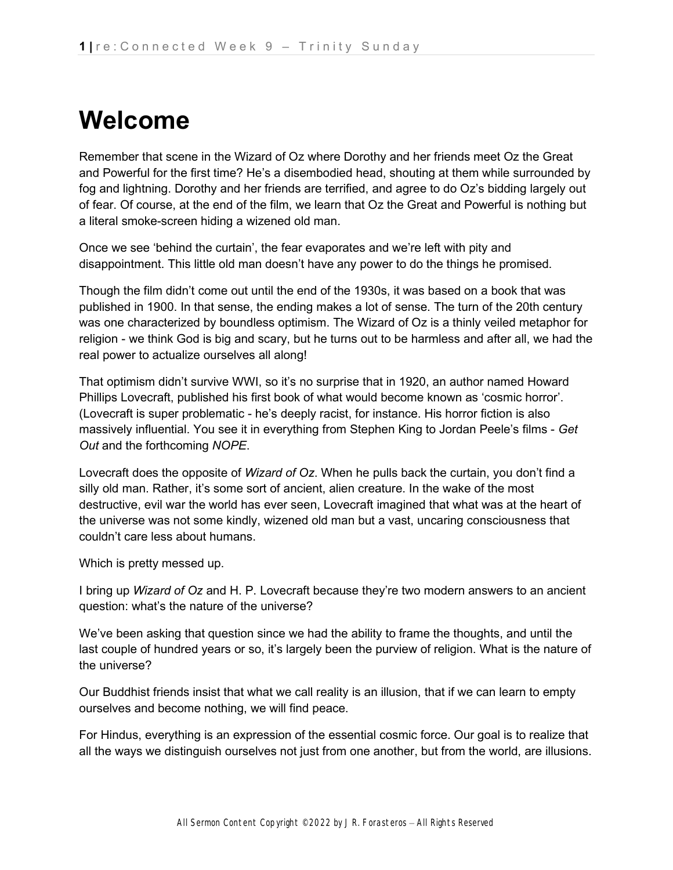# **Welcome**

Remember that scene in the Wizard of Oz where Dorothy and her friends meet Oz the Great and Powerful for the first time? He's a disembodied head, shouting at them while surrounded by fog and lightning. Dorothy and her friends are terrified, and agree to do Oz's bidding largely out of fear. Of course, at the end of the film, we learn that Oz the Great and Powerful is nothing but a literal smoke-screen hiding a wizened old man.

Once we see 'behind the curtain', the fear evaporates and we're left with pity and disappointment. This little old man doesn't have any power to do the things he promised.

Though the film didn't come out until the end of the 1930s, it was based on a book that was published in 1900. In that sense, the ending makes a lot of sense. The turn of the 20th century was one characterized by boundless optimism. The Wizard of Oz is a thinly veiled metaphor for religion - we think God is big and scary, but he turns out to be harmless and after all, we had the real power to actualize ourselves all along!

That optimism didn't survive WWI, so it's no surprise that in 1920, an author named Howard Phillips Lovecraft, published his first book of what would become known as 'cosmic horror'. (Lovecraft is super problematic - he's deeply racist, for instance. His horror fiction is also massively influential. You see it in everything from Stephen King to Jordan Peele's films - *Get Out* and the forthcoming *NOPE*.

Lovecraft does the opposite of *Wizard of Oz*. When he pulls back the curtain, you don't find a silly old man. Rather, it's some sort of ancient, alien creature. In the wake of the most destructive, evil war the world has ever seen, Lovecraft imagined that what was at the heart of the universe was not some kindly, wizened old man but a vast, uncaring consciousness that couldn't care less about humans.

Which is pretty messed up.

I bring up *Wizard of Oz* and H. P. Lovecraft because they're two modern answers to an ancient question: what's the nature of the universe?

We've been asking that question since we had the ability to frame the thoughts, and until the last couple of hundred years or so, it's largely been the purview of religion. What is the nature of the universe?

Our Buddhist friends insist that what we call reality is an illusion, that if we can learn to empty ourselves and become nothing, we will find peace.

For Hindus, everything is an expression of the essential cosmic force. Our goal is to realize that all the ways we distinguish ourselves not just from one another, but from the world, are illusions.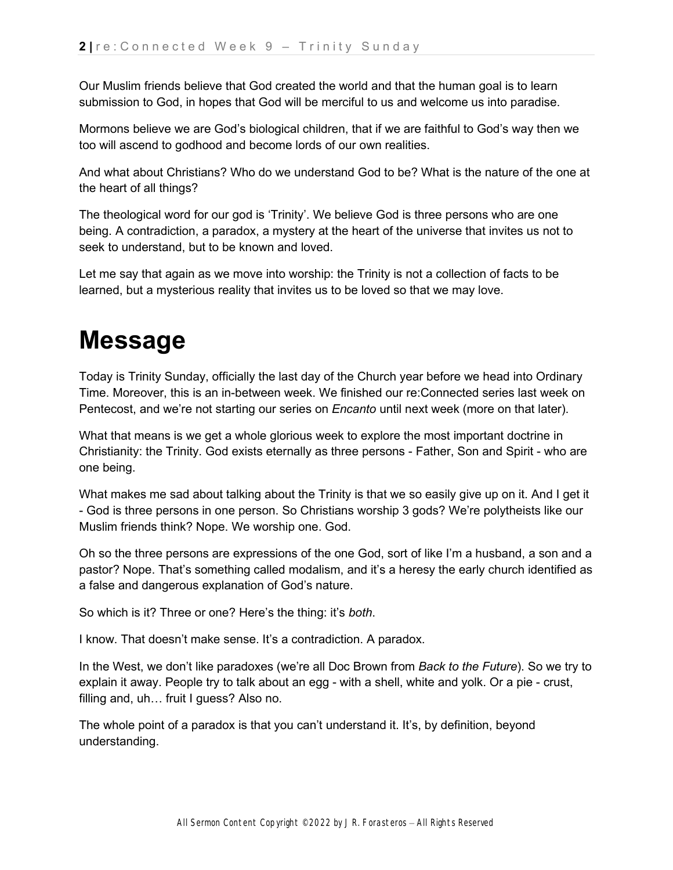Our Muslim friends believe that God created the world and that the human goal is to learn submission to God, in hopes that God will be merciful to us and welcome us into paradise.

Mormons believe we are God's biological children, that if we are faithful to God's way then we too will ascend to godhood and become lords of our own realities.

And what about Christians? Who do we understand God to be? What is the nature of the one at the heart of all things?

The theological word for our god is 'Trinity'. We believe God is three persons who are one being. A contradiction, a paradox, a mystery at the heart of the universe that invites us not to seek to understand, but to be known and loved.

Let me say that again as we move into worship: the Trinity is not a collection of facts to be learned, but a mysterious reality that invites us to be loved so that we may love.

## **Message**

Today is Trinity Sunday, officially the last day of the Church year before we head into Ordinary Time. Moreover, this is an in-between week. We finished our re:Connected series last week on Pentecost, and we're not starting our series on *Encanto* until next week (more on that later).

What that means is we get a whole glorious week to explore the most important doctrine in Christianity: the Trinity. God exists eternally as three persons - Father, Son and Spirit - who are one being.

What makes me sad about talking about the Trinity is that we so easily give up on it. And I get it - God is three persons in one person. So Christians worship 3 gods? We're polytheists like our Muslim friends think? Nope. We worship one. God.

Oh so the three persons are expressions of the one God, sort of like I'm a husband, a son and a pastor? Nope. That's something called modalism, and it's a heresy the early church identified as a false and dangerous explanation of God's nature.

So which is it? Three or one? Here's the thing: it's *both*.

I know. That doesn't make sense. It's a contradiction. A paradox.

In the West, we don't like paradoxes (we're all Doc Brown from *Back to the Future*). So we try to explain it away. People try to talk about an egg - with a shell, white and yolk. Or a pie - crust, filling and, uh… fruit I guess? Also no.

The whole point of a paradox is that you can't understand it. It's, by definition, beyond understanding.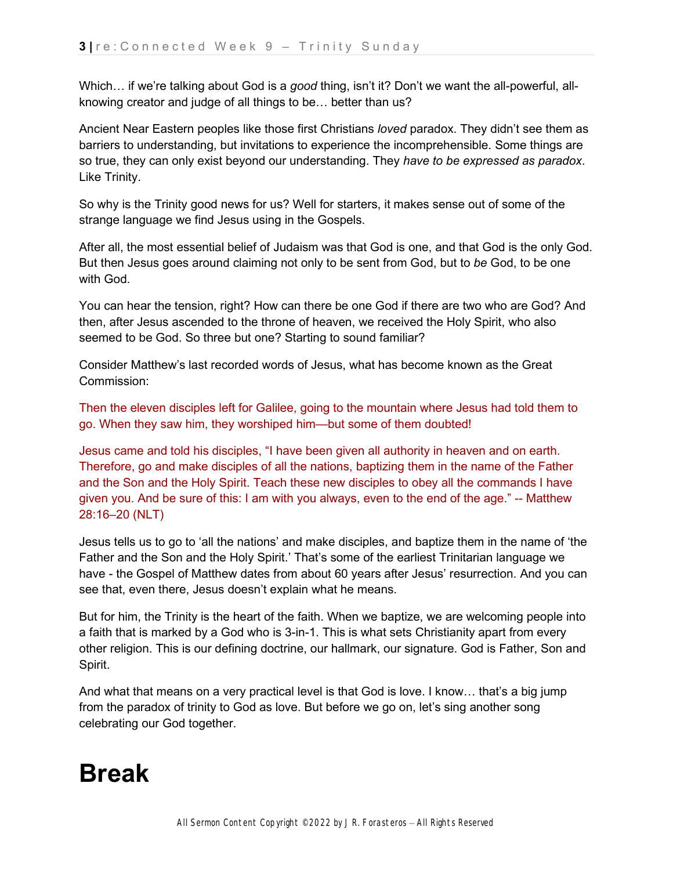Which… if we're talking about God is a *good* thing, isn't it? Don't we want the all-powerful, allknowing creator and judge of all things to be… better than us?

Ancient Near Eastern peoples like those first Christians *loved* paradox. They didn't see them as barriers to understanding, but invitations to experience the incomprehensible. Some things are so true, they can only exist beyond our understanding. They *have to be expressed as paradox*. Like Trinity.

So why is the Trinity good news for us? Well for starters, it makes sense out of some of the strange language we find Jesus using in the Gospels.

After all, the most essential belief of Judaism was that God is one, and that God is the only God. But then Jesus goes around claiming not only to be sent from God, but to *be* God, to be one with God.

You can hear the tension, right? How can there be one God if there are two who are God? And then, after Jesus ascended to the throne of heaven, we received the Holy Spirit, who also seemed to be God. So three but one? Starting to sound familiar?

Consider Matthew's last recorded words of Jesus, what has become known as the Great Commission:

Then the eleven disciples left for Galilee, going to the mountain where Jesus had told them to go. When they saw him, they worshiped him—but some of them doubted!

Jesus came and told his disciples, "I have been given all authority in heaven and on earth. Therefore, go and make disciples of all the nations, baptizing them in the name of the Father and the Son and the Holy Spirit. Teach these new disciples to obey all the commands I have given you. And be sure of this: I am with you always, even to the end of the age." -- Matthew 28:16–20 (NLT)

Jesus tells us to go to 'all the nations' and make disciples, and baptize them in the name of 'the Father and the Son and the Holy Spirit.' That's some of the earliest Trinitarian language we have - the Gospel of Matthew dates from about 60 years after Jesus' resurrection. And you can see that, even there, Jesus doesn't explain what he means.

But for him, the Trinity is the heart of the faith. When we baptize, we are welcoming people into a faith that is marked by a God who is 3-in-1. This is what sets Christianity apart from every other religion. This is our defining doctrine, our hallmark, our signature. God is Father, Son and Spirit.

And what that means on a very practical level is that God is love. I know… that's a big jump from the paradox of trinity to God as love. But before we go on, let's sing another song celebrating our God together.

### **Break**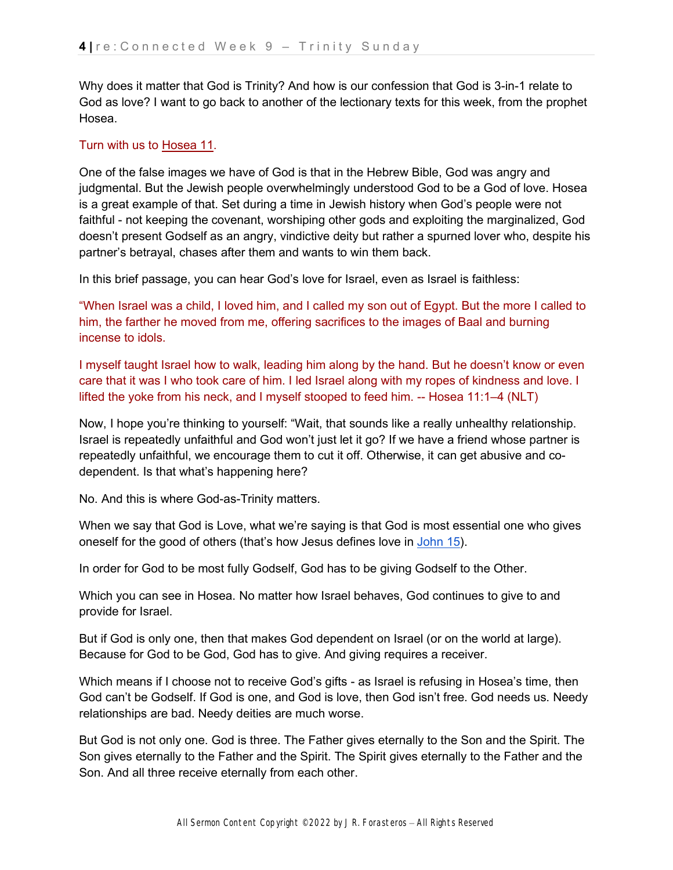Why does it matter that God is Trinity? And how is our confession that God is 3-in-1 relate to God as love? I want to go back to another of the lectionary texts for this week, from the prophet Hosea.

#### Turn with us t[o](https://ref.ly/logosref/bible$2Bnlt.28.11) [Hosea 11.](https://ref.ly/logosref/bible$2Bnlt.28.11)

One of the false images we have of God is that in the Hebrew Bible, God was angry and judgmental. But the Jewish people overwhelmingly understood God to be a God of love. Hosea is a great example of that. Set during a time in Jewish history when God's people were not faithful - not keeping the covenant, worshiping other gods and exploiting the marginalized, God doesn't present Godself as an angry, vindictive deity but rather a spurned lover who, despite his partner's betrayal, chases after them and wants to win them back.

In this brief passage, you can hear God's love for Israel, even as Israel is faithless:

"When Israel was a child, I loved him, and I called my son out of Egypt. But the more I called to him, the farther he moved from me, offering sacrifices to the images of Baal and burning incense to idols.

I myself taught Israel how to walk, leading him along by the hand. But he doesn't know or even care that it was I who took care of him. I led Israel along with my ropes of kindness and love. I lifted the yoke from his neck, and I myself stooped to feed him. -- Hosea 11:1–4 (NLT)

Now, I hope you're thinking to yourself: "Wait, that sounds like a really unhealthy relationship. Israel is repeatedly unfaithful and God won't just let it go? If we have a friend whose partner is repeatedly unfaithful, we encourage them to cut it off. Otherwise, it can get abusive and codependent. Is that what's happening here?

No. And this is where God-as-Trinity matters.

When we say that God is Love, what we're saying is that God is most essential one who gives oneself for the good of others (that's how Jesus defines love i[n](https://ref.ly/logosref/bible$2Bnlt.64.15) [John 15\)](https://ref.ly/logosref/bible$2Bnlt.64.15).

In order for God to be most fully Godself, God has to be giving Godself to the Other.

Which you can see in Hosea. No matter how Israel behaves, God continues to give to and provide for Israel.

But if God is only one, then that makes God dependent on Israel (or on the world at large). Because for God to be God, God has to give. And giving requires a receiver.

Which means if I choose not to receive God's gifts - as Israel is refusing in Hosea's time, then God can't be Godself. If God is one, and God is love, then God isn't free. God needs us. Needy relationships are bad. Needy deities are much worse.

But God is not only one. God is three. The Father gives eternally to the Son and the Spirit. The Son gives eternally to the Father and the Spirit. The Spirit gives eternally to the Father and the Son. And all three receive eternally from each other.